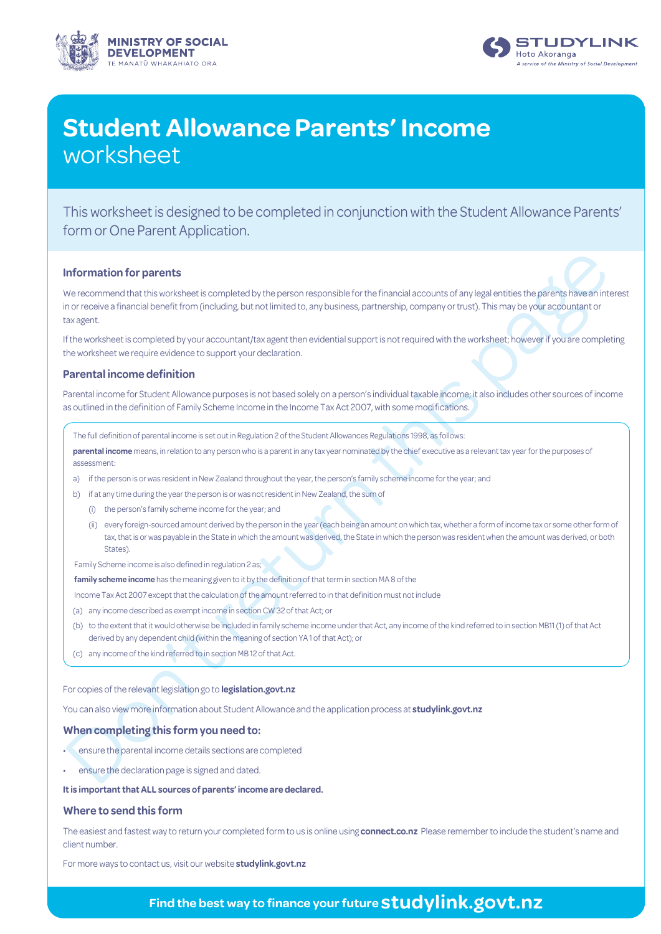



## **Student Allowance Parents' Income** worksheet

This worksheet is designed to be completed in conjunction with the Student Allowance Parents' form or One Parent Application.

#### **Information for parents**

**nformation for parents**<br>
we recommend there is evolvisions; is completed by the person responsible for the financial accounts of any legitimation<br>
contractions in the case of the constant contractions are constant in the We recommend that this worksheet is completed by the person responsible for the financial accounts of any legal entities the parents have an interest in or receive a financial benefit from (including, but not limited to, any business, partnership, company or trust). This may be your accountant or tax agent.

If the worksheet is completed by your accountant/tax agent then evidential support is not required with the worksheet; however if you are completing the worksheet we require evidence to support your declaration.

#### **Parental income definition**

Parental income for Student Allowance purposes is not based solely on a person's individual taxable income; it also includes other sources of income as outlined in the definition of Family Scheme Income in the Income Tax Act 2007, with some modifications.

The full definition of parental income is set out in Regulation 2 of the Student Allowances Regulations 1998, as follows:

**parental income** means, in relation to any person who is a parent in any tax year nominated by the chief executive as a relevant tax year for the purposes of assessment:

- a) if the person is or was resident in New Zealand throughout the year, the person's family scheme income for the year; and
- b) if at any time during the year the person is or was not resident in New Zealand, the sum of
	- (i) the person's family scheme income for the year; and
	- (ii) every foreign-sourced amount derived by the person in the year (each being an amount on which tax, whether a form of income tax or some other form of tax, that is or was payable in the State in which the amount was derived, the State in which the person was resident when the amount was derived, or both States).

Family Scheme income is also defined in regulation 2 as;

**family scheme income** has the meaning given to it by the definition of that term in section MA 8 of the

Income Tax Act 2007 except that the calculation of the amount referred to in that definition must not include

- (a) any income described as exempt income in section CW 32 of that Act; or
- (b) to the extent that it would otherwise be included in family scheme income under that Act, any income of the kind referred to in section MB11 (1) of that Act derived by any dependent child (within the meaning of section YA 1 of that Act); or
- (c) any income of the kind referred to in section MB 12 of that Act.

For copies of the relevant legislation go to **legislation.govt.nz**

You can also view more information about Student Allowance and the application process at **studylink.govt.nz**

#### **When completing this form you need to:**

- ensure the parental income details sections are completed
- ensure the declaration page is signed and dated.

**It is important that ALL sources of parents' income are declared.**

#### **Where to send this form**

The easiest and fastest way to return your completed form to us is online using **[connect.co.nz](www.studylink.govt.nz)** Please remember to include the student's name and client number.

For more ways to contact us, visit our website **studylink.govt.nz**

## **Find the best way to finance your future studylink.govt.nz**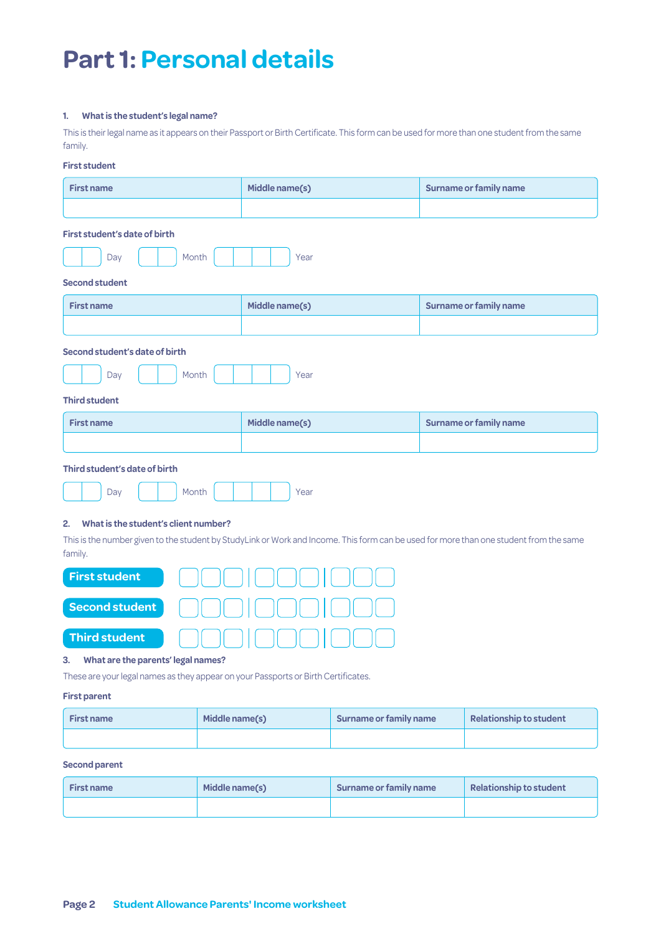## **Part 1: Personal details**

#### **1. What is the student's legal name?**

This is their legal name as it appears on their Passport or Birth Certificate. This form can be used for more than one student from the same family.

#### **First student**

| <b>First name</b>                                                                                                                                                                               | Middle name(s) | Surname or family name        |  |  |
|-------------------------------------------------------------------------------------------------------------------------------------------------------------------------------------------------|----------------|-------------------------------|--|--|
|                                                                                                                                                                                                 |                |                               |  |  |
| First student's date of birth<br>Month<br>Day<br>Year                                                                                                                                           |                |                               |  |  |
| <b>Second student</b>                                                                                                                                                                           |                |                               |  |  |
| <b>First name</b>                                                                                                                                                                               | Middle name(s) | Surname or family name        |  |  |
|                                                                                                                                                                                                 |                |                               |  |  |
| Second student's date of birth                                                                                                                                                                  |                |                               |  |  |
| Month<br>Day                                                                                                                                                                                    | Year           |                               |  |  |
| <b>Third student</b>                                                                                                                                                                            |                |                               |  |  |
| <b>First name</b>                                                                                                                                                                               | Middle name(s) | <b>Surname or family name</b> |  |  |
|                                                                                                                                                                                                 |                |                               |  |  |
| Third student's date of birth                                                                                                                                                                   |                |                               |  |  |
| Day<br>Month<br>Year                                                                                                                                                                            |                |                               |  |  |
| What is the student's client number?<br>2.<br>This is the number given to the student by StudyLink or Work and Income. This form can be used for more than one student from the same<br>family. |                |                               |  |  |
| <b>First student</b>                                                                                                                                                                            |                |                               |  |  |
| <b>Second student</b>                                                                                                                                                                           |                |                               |  |  |
| <b>Third student</b>                                                                                                                                                                            |                |                               |  |  |
| What are the parents' legal names?<br>3.<br>These are your legal names as they appear on your Passports or Birth Certificates.                                                                  |                |                               |  |  |

#### **First parent**

| <b>First name</b> | Middle name(s) | Surname or family name | <b>Relationship to student</b> |
|-------------------|----------------|------------------------|--------------------------------|
|                   |                |                        |                                |

#### **Second parent**

| <b>First name</b> | Middle name(s) | Surname or family name | Relationship to student |
|-------------------|----------------|------------------------|-------------------------|
|                   |                |                        |                         |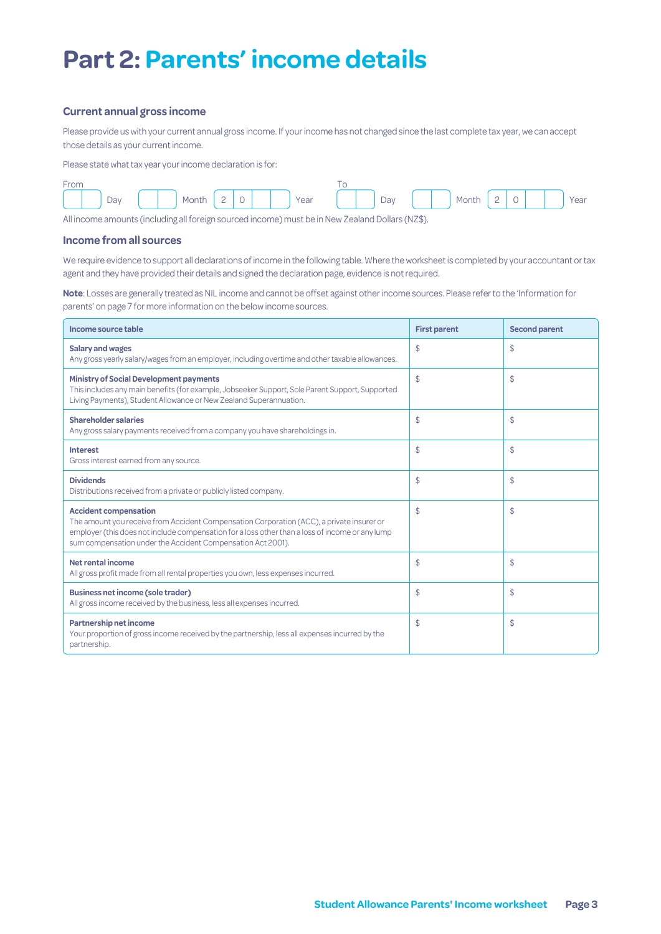## **Part 2: Parents' income details**

#### **Current annual gross income**

Please provide us with your current annual gross income. If your income has not changed since the last complete tax year, we can accept those details as your current income.

Please state what tax year your income declaration is for:



All income amounts (including all foreign sourced income) must be in New Zealand Dollars (NZ\$).

#### **Income from all sources**

We require evidence to support all declarations of income in the following table. Where the worksheet is completed by your accountant or tax agent and they have provided their details and signed the declaration page, evidence is not required.

**Note**: Losses are generally treated as NIL income and cannot be offset against other income sources. Please refer to the 'Information for parents' on page 7 for more information on the below income sources.

| Income source table                                                                                                                                                                                                                                                                         | <b>First parent</b> | <b>Second parent</b> |
|---------------------------------------------------------------------------------------------------------------------------------------------------------------------------------------------------------------------------------------------------------------------------------------------|---------------------|----------------------|
| <b>Salary and wages</b><br>Any gross yearly salary/wages from an employer, including overtime and other taxable allowances.                                                                                                                                                                 | \$                  | \$                   |
| Ministry of Social Development payments<br>This includes any main benefits (for example, Jobseeker Support, Sole Parent Support, Supported<br>Living Payments), Student Allowance or New Zealand Superannuation.                                                                            | \$                  | \$                   |
| <b>Shareholder salaries</b><br>Any gross salary payments received from a company you have shareholdings in.                                                                                                                                                                                 | \$                  | \$                   |
| <b>Interest</b><br>Gross interest earned from any source.                                                                                                                                                                                                                                   | \$                  | \$                   |
| <b>Dividends</b><br>Distributions received from a private or publicly listed company.                                                                                                                                                                                                       | \$                  | \$                   |
| <b>Accident compensation</b><br>The amount you receive from Accident Compensation Corporation (ACC), a private insurer or<br>employer (this does not include compensation for a loss other than a loss of income or any lump<br>sum compensation under the Accident Compensation Act 2001). | \$                  | \$                   |
| Net rental income<br>All gross profit made from all rental properties you own, less expenses incurred.                                                                                                                                                                                      | \$                  | \$                   |
| <b>Business net income (sole trader)</b><br>All gross income received by the business, less all expenses incurred.                                                                                                                                                                          | \$                  | \$                   |
| Partnership net income<br>Your proportion of gross income received by the partnership, less all expenses incurred by the<br>partnership.                                                                                                                                                    | \$                  | \$                   |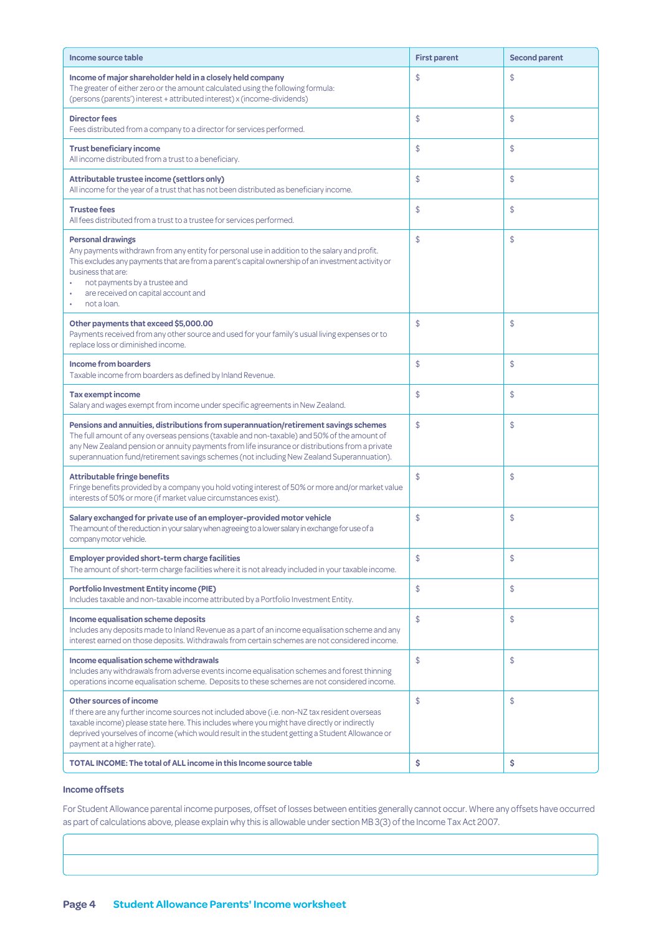| Income source table                                                                                                                                                                                                                                                                                                                                                                  | <b>First parent</b> | <b>Second parent</b> |
|--------------------------------------------------------------------------------------------------------------------------------------------------------------------------------------------------------------------------------------------------------------------------------------------------------------------------------------------------------------------------------------|---------------------|----------------------|
| Income of major shareholder held in a closely held company<br>The greater of either zero or the amount calculated using the following formula:<br>(persons (parents') interest + attributed interest) x (income-dividends)                                                                                                                                                           | \$                  | \$                   |
| <b>Director fees</b><br>Fees distributed from a company to a director for services performed.                                                                                                                                                                                                                                                                                        | \$                  | \$                   |
| <b>Trust beneficiary income</b><br>All income distributed from a trust to a beneficiary.                                                                                                                                                                                                                                                                                             | \$                  | \$                   |
| Attributable trustee income (settlors only)<br>All income for the year of a trust that has not been distributed as beneficiary income.                                                                                                                                                                                                                                               | \$                  | \$                   |
| <b>Trustee fees</b><br>All fees distributed from a trust to a trustee for services performed.                                                                                                                                                                                                                                                                                        | \$                  | \$                   |
| <b>Personal drawings</b><br>Any payments withdrawn from any entity for personal use in addition to the salary and profit.<br>This excludes any payments that are from a parent's capital ownership of an investment activity or<br>business that are:<br>not payments by a trustee and<br>are received on capital account and<br>not a loan.                                         | \$                  | \$                   |
| Other payments that exceed \$5,000.00<br>Payments received from any other source and used for your family's usual living expenses or to<br>replace loss or diminished income.                                                                                                                                                                                                        | \$                  | \$                   |
| <b>Income from boarders</b><br>Taxable income from boarders as defined by Inland Revenue.                                                                                                                                                                                                                                                                                            | \$                  | \$                   |
| <b>Tax exempt income</b><br>Salary and wages exempt from income under specific agreements in New Zealand.                                                                                                                                                                                                                                                                            | \$                  | \$                   |
| Pensions and annuities, distributions from superannuation/retirement savings schemes<br>The full amount of any overseas pensions (taxable and non-taxable) and 50% of the amount of<br>any New Zealand pension or annuity payments from life insurance or distributions from a private<br>superannuation fund/retirement savings schemes (not including New Zealand Superannuation). | \$                  | \$                   |
| <b>Attributable fringe benefits</b><br>Fringe benefits provided by a company you hold voting interest of 50% or more and/or market value<br>interests of 50% or more (if market value circumstances exist).                                                                                                                                                                          | \$                  | \$                   |
| Salary exchanged for private use of an employer-provided motor vehicle<br>The amount of the reduction in your salary when agreeing to a lower salary in exchange for use of a<br>company motor vehicle.                                                                                                                                                                              | \$                  | \$                   |
| <b>Employer provided short-term charge facilities</b><br>The amount of short-term charge facilities where it is not already included in your taxable income.                                                                                                                                                                                                                         | \$                  | \$                   |
| <b>Portfolio Investment Entity income (PIE)</b><br>Includes taxable and non-taxable income attributed by a Portfolio Investment Entity.                                                                                                                                                                                                                                              | \$                  | \$                   |
| Income equalisation scheme deposits<br>Includes any deposits made to Inland Revenue as a part of an income equalisation scheme and any<br>interest earned on those deposits. Withdrawals from certain schemes are not considered income.                                                                                                                                             | \$                  | \$                   |
| Income equalisation scheme withdrawals<br>Includes any withdrawals from adverse events income equalisation schemes and forest thinning<br>operations income equalisation scheme. Deposits to these schemes are not considered income.                                                                                                                                                | \$                  | \$                   |
| Other sources of income<br>If there are any further income sources not included above (i.e. non-NZ tax resident overseas<br>taxable income) please state here. This includes where you might have directly or indirectly<br>deprived yourselves of income (which would result in the student getting a Student Allowance or<br>payment at a higher rate).                            | \$                  | \$                   |
| TOTAL INCOME: The total of ALL income in this Income source table                                                                                                                                                                                                                                                                                                                    | \$                  | \$                   |

#### **Income offsets**

For Student Allowance parental income purposes, offset of losses between entities generally cannot occur. Where any offsets have occurred as part of calculations above, please explain why this is allowable under section MB 3(3) of the Income Tax Act 2007.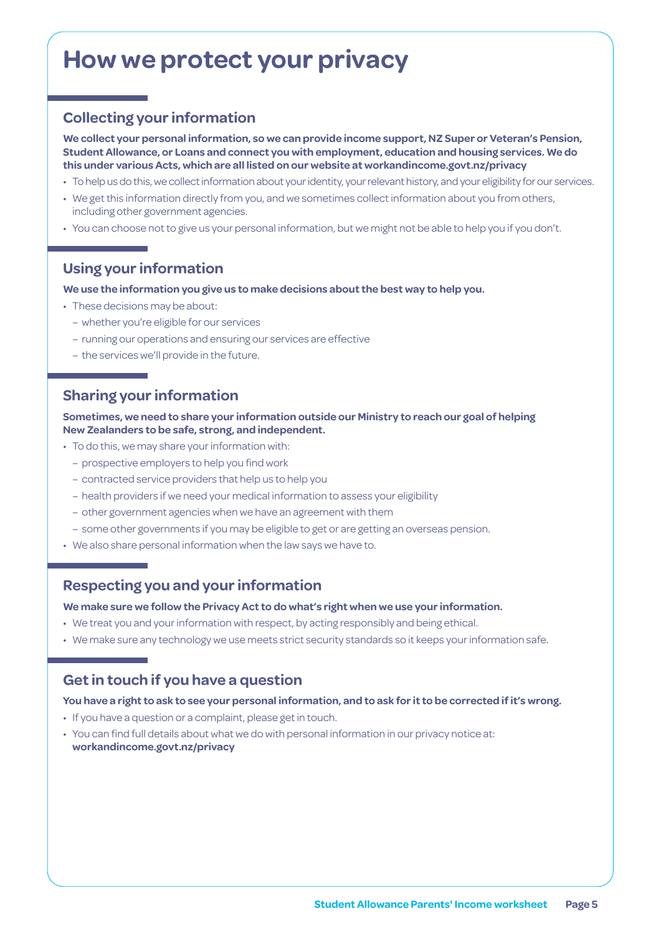## **How we protect your privacy**

## **Collecting your information**

**We collect your personal information, so we can provide income support, NZ Super or Veteran's Pension, Student Allowance, or Loans and connect you with employment, education and housing services. We do this under various Acts, which are all listed on our website at [workandincome.govt.nz/p](http://www.workandincome.govt.nz/about-work-and-income/privacy-notice/index.html)rivacy**

- To help us do this, we collect information about your identity, your relevant history, and your eligibility for our services.
- We get this information directly from you, and we sometimes collect information about you from others, including other government agencies.
- You can choose not to give us your personal information, but we might not be able to help you if you don't.

### **Using your information**

#### **We use the information you give us to make decisions about the best way to help you.**

- These decisions may be about:
	- whether you're eligible for our services
	- running our operations and ensuring our services are effective
	- the services we'll provide in the future.

### **Sharing your information**

**Sometimes, we need to share your information outside our Ministry to reach our goal of helping New Zealanders to be safe, strong, and independent.**

- To do this, we may share your information with:
	- prospective employers to help you find work
	- contracted service providers that help us to help you
	- health providers if we need your medical information to assess your eligibility
	- other government agencies when we have an agreement with them
	- some other governments if you may be eligible to get or are getting an overseas pension.
- We also share personal information when the law says we have to.

### **Respecting you and your information**

**We make sure we follow the Privacy Act to do what's right when we use your information.**

- We treat you and your information with respect, by acting responsibly and being ethical.
- We make sure any technology we use meets strict security standards so it keeps your information safe.

### **Get in touch if you have a question**

#### **You have a right to ask to see your personal information, and to ask for it to be corrected if it's wrong.**

- If you have a question or a complaint, please get in touch.
- You can find full details about what we do with personal information in our privacy notice at: **[workandincome.govt.nz/p](http://www.workandincome.govt.nz/about-work-and-income/privacy-notice/index.html)rivacy**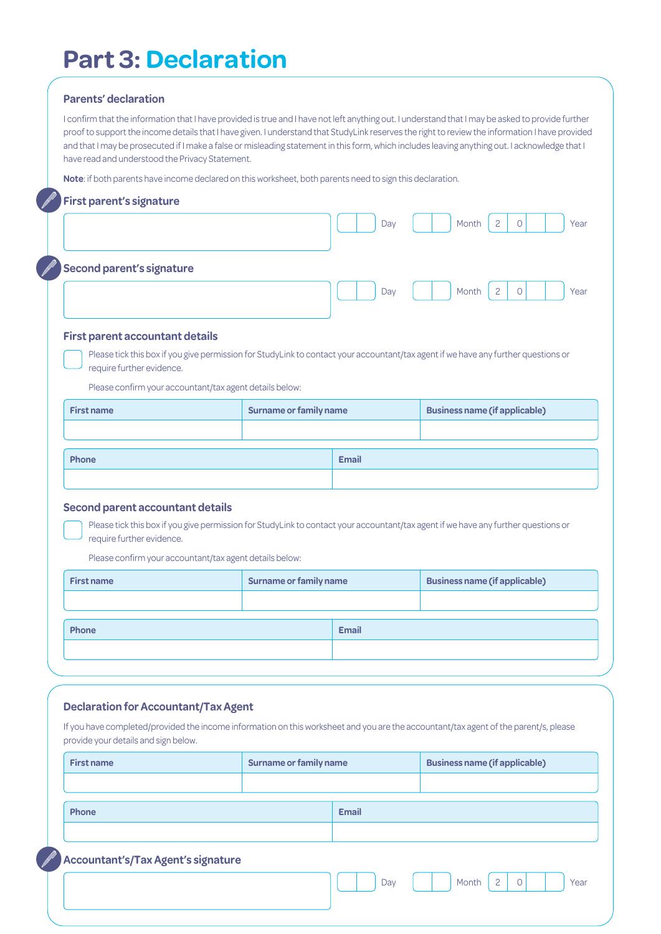## **Part 3: Declaration**

#### **Parents' declaration**

I confirm that the information that I have provided is true and I have not left anything out. I understand that I may be asked to provide further proof to support the income details that I have given. I understand that StudyLink reserves the right to review the information I have provided and that I may be prosecuted if I make a false or misleading statement in this form, which includes leaving anything out. I acknowledge that I have read and understood the Privacy Statement.

**Note**: if both parents have income declared on this worksheet, both parents need to sign this declaration.

### **First parent's signature**

| <b>Second parent's signature</b>       |                                                                                                                                    | Day          | $\overline{2}$<br>Month<br>Year<br>$\Omega$ |
|----------------------------------------|------------------------------------------------------------------------------------------------------------------------------------|--------------|---------------------------------------------|
| <b>First parent accountant details</b> |                                                                                                                                    |              |                                             |
| require further evidence.              | Please tick this box if you give permission for StudyLink to contact your accountant/tax agent if we have any further questions or |              |                                             |
|                                        | Please confirm your accountant/tax agent details below:                                                                            |              |                                             |
| <b>First name</b>                      | <b>Surname or family name</b>                                                                                                      |              | <b>Business name (if applicable)</b>        |
|                                        |                                                                                                                                    |              |                                             |
|                                        |                                                                                                                                    |              |                                             |
| Phone                                  |                                                                                                                                    | <b>Email</b> |                                             |

| <b>First name</b> | <b>Surname or family name</b> |              | <b>Business name (if applicable)</b> |
|-------------------|-------------------------------|--------------|--------------------------------------|
|                   |                               |              |                                      |
| Phone             |                               | <b>Email</b> |                                      |
|                   |                               |              |                                      |
|                   |                               |              |                                      |

#### **Declaration for Accountant/Tax Agent**

If you have completed/provided the income information on this worksheet and you are the accountant/tax agent of the parent/s, please provide your details and sign below.

| <b>First name</b>                  | <b>Surname or family name</b> |              | <b>Business name (if applicable)</b>        |  |  |
|------------------------------------|-------------------------------|--------------|---------------------------------------------|--|--|
|                                    |                               |              |                                             |  |  |
| Phone                              |                               | <b>Email</b> |                                             |  |  |
|                                    |                               |              |                                             |  |  |
| Accountant's/Tax Agent's signature |                               |              |                                             |  |  |
|                                    |                               | Day          | $\overline{c}$<br>Month<br>$\Omega$<br>Year |  |  |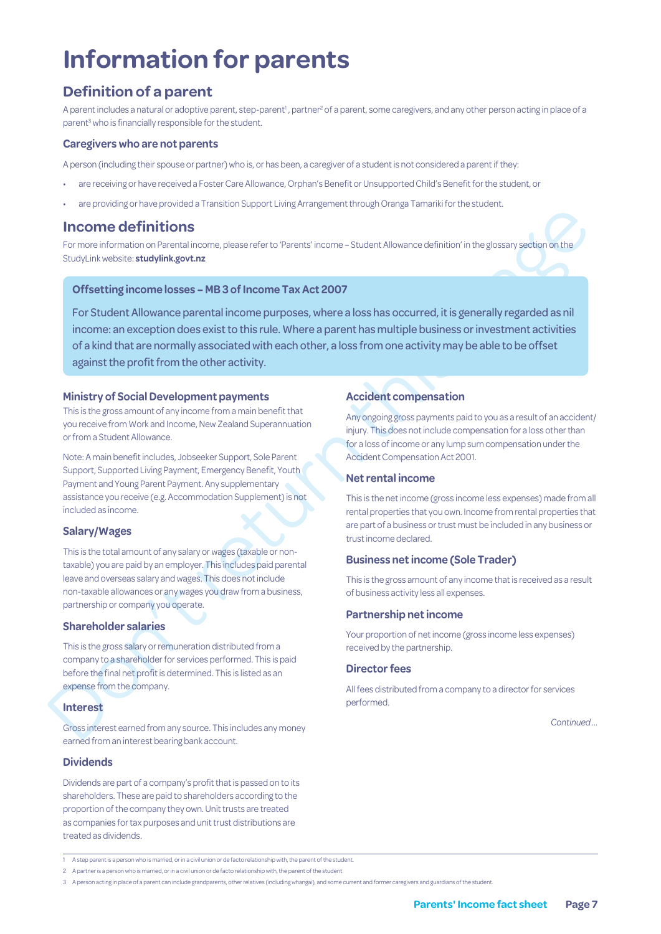# **Information for parents**

## **Definition of a parent**

A parent includes a natural or adoptive parent, step-parent<sup>1</sup>, partner<sup>2</sup> of a parent, some caregivers, and any other person acting in place of a parent<sup>3</sup> who is financially responsible for the student.

#### **Caregivers who are not parents**

A person (including their spouse or partner) who is, or has been, a caregiver of a student is not considered a parent if they:

- are receiving or have received a Foster Care Allowance, Orphan's Benefit or Unsupported Child's Benefit for the student, or
- are providing or have provided a Transition Support Living Arrangement through Oranga Tamariki for the student.

## **Income definitions**

For more information on Parental income, please refer to 'Parents' income – Student Allowance definition' in the glossary section on the StudyLink website: **studylink.govt.nz**

#### **Offsetting income losses – MB 3 of Income Tax Act 2007**

**Income definitions**<br>
For mask throughly approach to Pares' income - Student Moseons definitor in the goosey serior on the Study investigation for the Study investigation for the Study investigation of the Study investigat For Student Allowance parental income purposes, where a loss has occurred, it is generally regarded as nil income: an exception does exist to this rule. Where a parent has multiple business or investment activities of a kind that are normally associated with each other, a loss from one activity may be able to be offset against the profit from the other activity.

#### **Ministry of Social Development payments**

This is the gross amount of any income from a main benefit that you receive from Work and Income, New Zealand Superannuation or from a Student Allowance.

Note: A main benefit includes, Jobseeker Support, Sole Parent Support, Supported Living Payment, Emergency Benefit, Youth Payment and Young Parent Payment. Any supplementary assistance you receive (e.g. Accommodation Supplement) is not included as income.

#### **Salary/Wages**

This is the total amount of any salary or wages (taxable or nontaxable) you are paid by an employer. This includes paid parental leave and overseas salary and wages. This does not include non-taxable allowances or any wages you draw from a business, partnership or company you operate.

#### **Shareholder salaries**

This is the gross salary or remuneration distributed from a company to a shareholder for services performed. This is paid before the final net profit is determined. This is listed as an expense from the company.

#### **Interest**

Gross interest earned from any source. This includes any money earned from an interest bearing bank account.

#### **Dividends**

Dividends are part of a company's profit that is passed on to its shareholders. These are paid to shareholders according to the proportion of the company they own. Unit trusts are treated as companies for tax purposes and unit trust distributions are treated as dividends.

#### **Accident compensation**

Any ongoing gross payments paid to you as a result of an accident/ injury. This does not include compensation for a loss other than for a loss of income or any lump sum compensation under the Accident Compensation Act 2001.

#### **Net rental income**

This is the net income (gross income less expenses) made from all rental properties that you own. Income from rental properties that are part of a business or trust must be included in any business or trust income declared.

#### **Business net income (Sole Trader)**

This is the gross amount of any income that is received as a result of business activity less all expenses.

#### **Partnership net income**

Your proportion of net income (gross income less expenses) received by the partnership.

#### **Director fees**

All fees distributed from a company to a director for services performed.

*Continued …*

<sup>1</sup> A step parent is a person who is married, or in a civil union or de facto relationship with, the parent of the student.

<sup>2</sup> A partner is a person who is married, or in a civil union or de facto relationship with, the parent of the student.

<sup>3</sup> A person acting in place of a parent can include grandparents, other relatives (including whangai), and some current and former caregivers and guardians of the student.